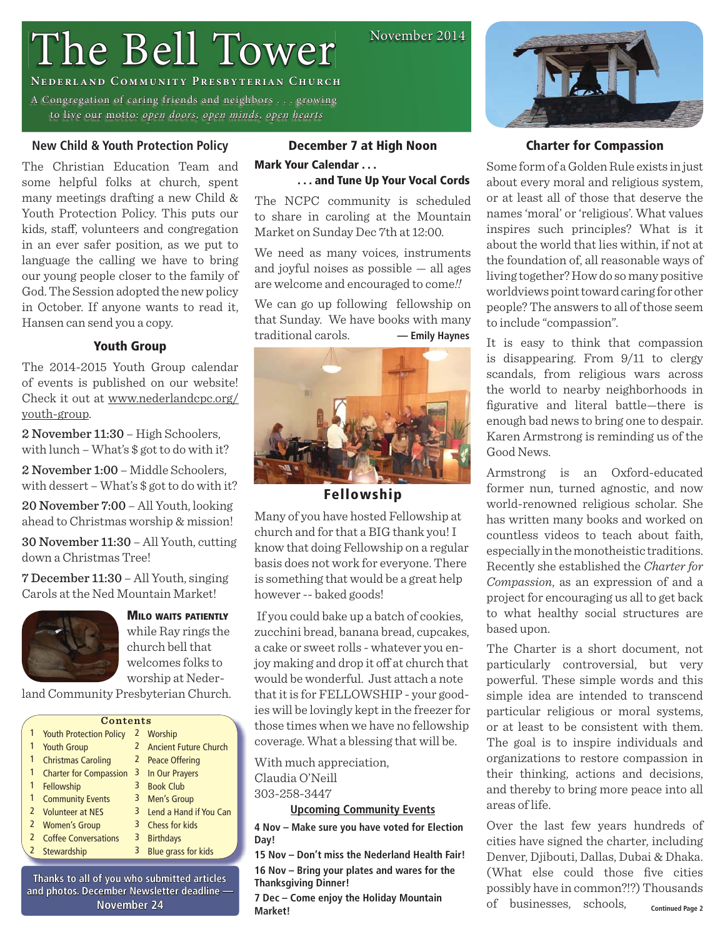# The Bell Tower

**NEDERLAND COMMUNITY PRESBYTERIAN CHURCH** 

A Congregation of caring friends and neighbors . . . growing to live our motto: open doors, open minds, open hearts

# **New Child & Youth Protection Policy**

The Christian Education Team and some helpful folks at church, spent many meetings drafting a new Child & Youth Protection Policy. This puts our kids, staff, volunteers and congregation in an ever safer position, as we put to language the calling we have to bring our young people closer to the family of God. The Session adopted the new policy in October. If anyone wants to read it, Hansen can send you a copy.

# **Youth Group**

The 2014-2015 Youth Group calendar of events is published on our website! Check it out at www.nederlandcpc.org/ youth-group.

2 November 11:30 – High Schoolers, with lunch – What's \$ got to do with it?

2 November 1:00 – Middle Schoolers, with dessert – What's \$ got to do with it?

20 November 7:00 – All Youth, looking ahead to Christmas worship & mission!

30 November 11:30 – All Youth, cutting down a Christmas Tree!

7 December 11:30 – All Youth, singing Carols at the Ned Mountain Market!



**MILO WAITS PATIENTLY** while Ray rings the church bell that welcomes folks to worship at Neder-

land Community Presbyterian Church.

|   | Contents                       |              |                              |  |  |  |
|---|--------------------------------|--------------|------------------------------|--|--|--|
|   | <b>Youth Protection Policy</b> |              | 2 Worship                    |  |  |  |
|   | <b>Youth Group</b>             | 2            | <b>Ancient Future Church</b> |  |  |  |
| 1 | <b>Christmas Caroling</b>      | $\mathbf{Z}$ | <b>Peace Offering</b>        |  |  |  |
| 1 | <b>Charter for Compassion</b>  | 3            | In Our Prayers               |  |  |  |
|   | Fellowship                     | 3            | <b>Book Club</b>             |  |  |  |
| 1 | <b>Community Events</b>        | 3            | <b>Men's Group</b>           |  |  |  |
| 2 | <b>Volunteer at NES</b>        | 3            | Lend a Hand if You Can       |  |  |  |
| 2 | <b>Women's Group</b>           |              | 3 Chess for kids             |  |  |  |
|   | <b>Coffee Conversations</b>    | 3            | <b>Birthdays</b>             |  |  |  |
|   | 2 Stewardship                  | 3            | <b>Blue grass for kids</b>   |  |  |  |

**Thanks to all of you who submitted articles hanks**  and photos. December Newsletter deadline -**November 24 ovember** 

## **December 7 at High Noon**

# **Mark Your Calendar . . .**

# **. . . and Tune Up Your Vocal Cords**

November 2014

The NCPC community is scheduled to share in caroling at the Mountain Market on Sunday Dec 7th at 12:00.

We need as many voices, instruments and joyful noises as possible — all ages are welcome and encouraged to come*!!*

We can go up following fellowship on that Sunday. We have books with many traditional carols. **— Emily Haynes**



**Fellowship**

Many of you have hosted Fellowship at church and for that a BIG thank you! I know that doing Fellowship on a regular basis does not work for everyone. There is something that would be a great help however -- baked goods!

 If you could bake up a batch of cookies, zucchini bread, banana bread, cupcakes, a cake or sweet rolls - whatever you enjoy making and drop it off at church that would be wonderful. Just attach a note that it is for FELLOWSHIP - your goodies will be lovingly kept in the freezer for those times when we have no fellowship coverage. What a blessing that will be.

With much appreciation, Claudia O'Neill 303-258-3447

**Upcoming Community Events**

**4 Nov – Make sure you have voted for Election Day!**

**15 Nov – Don't miss the Nederland Health Fair! 16 Nov – Bring your plates and wares for the Thanksgiving Dinner!**

**7 Dec – Come enjoy the Holiday Mountain Market!**



# **Charter for Compassion**

Some form of a Golden Rule exists in just about every moral and religious system, or at least all of those that deserve the names 'moral' or 'religious'. What values inspires such principles? What is it about the world that lies within, if not at the foundation of, all reasonable ways of living together? How do so many positive worldviews point toward caring for other people? The answers to all of those seem to include "compassion".

It is easy to think that compassion is disappearing. From 9/11 to clergy scandals, from religious wars across the world to nearby neighborhoods in figurative and literal battle—there is enough bad news to bring one to despair. Karen Armstrong is reminding us of the Good News.

Armstrong is an Oxford-educated former nun, turned agnostic, and now world-renowned religious scholar. She has written many books and worked on countless videos to teach about faith, especially in the monotheistic traditions. Recently she established the *Charter for Compassion*, as an expression of and a project for encouraging us all to get back to what healthy social structures are based upon.

The Charter is a short document, not particularly controversial, but very powerful. These simple words and this simple idea are intended to transcend particular religious or moral systems, or at least to be consistent with them. The goal is to inspire individuals and organizations to restore compassion in their thinking, actions and decisions, and thereby to bring more peace into all areas of life.

Over the last few years hundreds of cities have signed the charter, including Denver, Djibouti, Dallas, Dubai & Dhaka. (What else could those five cities possibly have in common?!?) Thousands of businesses, schools, **Continued Page 2**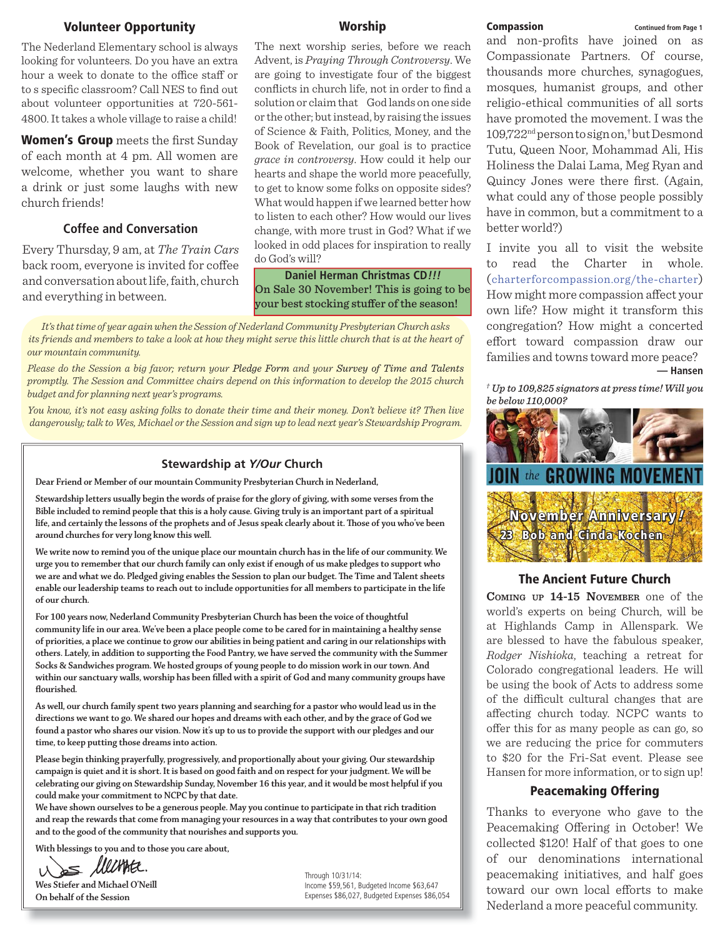## **Volunteer Opportunity**

The Nederland Elementary school is always looking for volunteers. Do you have an extra hour a week to donate to the office staff or to s specific classroom? Call NES to find out about volunteer opportunities at 720-561- 4800. It takes a whole village to raise a child!

**Women's Group** meets the first Sunday of each month at 4 pm. All women are welcome, whether you want to share a drink or just some laughs with new church friends!

## **Coffee and Conversation**

Every Thursday, 9 am, at *The Train Cars* back room, everyone is invited for coffee and conversation about life, faith, church and everything in between.

## **Worship**

The next worship series, before we reach Advent, is *Praying Through Controversy*. We are going to investigate four of the biggest conflicts in church life, not in order to find a solution or claim that God lands on one side or the other; but instead, by raising the issues of Science & Faith, Politics, Money, and the Book of Revelation, our goal is to practice *grace in controversy*. How could it help our hearts and shape the world more peacefully, to get to know some folks on opposite sides? What would happen if we learned better how to listen to each other? How would our lives change, with more trust in God? What if we looked in odd places for inspiration to really do God's will?

# **Daniel Herman Christmas CD!!!** On Sale 30 November! This is going to be<br>your best stocking stuffer of the season! your best stocking stuff er of the season!

*It's that time of year again when the Session of Nederland Community Presbyterian Church asks its friends and members to take a look at how they might serve this little church that is at the heart of our mountain community.*

*Please do the Session a big favor; return your Pledge Form and your Survey of Time and Talents promptly. The Session and Committee chairs depend on this information to develop the 2015 church budget and for planning next year's programs.*

*You know, it's not easy asking folks to donate their time and their money. Don't believe it? Then live dangerously; talk to Wes, Michael or the Session and sign up to lead next year's Stewardship Program.*

#### **Stewardship at** *Y/Our* **Church**

**Dear Friend or Member of our mountain Community Presbyterian Church in Nederland,**

**Stewardship letters usually begin the words of praise for the glory of giving, with some verses from the Bible included to remind people that this is a holy cause. Giving truly is an important part of a spiritual**  life, and certainly the lessons of the prophets and of Jesus speak clearly about it. Those of you who've been **around churches for very long know this well.**

**We write now to remind you of the unique place our mountain church has in the life of our community. We urge you to remember that our church family can only exist if enough of us make pledges to support who**  we are and what we do. Pledged giving enables the Session to plan our budget. The Time and Talent sheets **enable our leadership teams to reach out to include opportunities for all members to participate in the life of our church.**

**For 100 years now, Nederland Community Presbyterian Church has been the voice of thoughtful community life in our area. We've been a place people come to be cared for in maintaining a healthy sense of priorities, a place we continue to grow our abilities in being patient and caring in our relationships with others. Lately, in addition to supporting the Food Pantry, we have served the community with the Summer Socks & Sandwiches program. We hosted groups of young people to do mission work in our town. And**  within our sanctuary walls, worship has been filled with a spirit of God and many community groups have flourished.

**As well, our church family spent two years planning and searching for a pastor who would lead us in the directions we want to go. We shared our hopes and dreams with each other, and by the grace of God we found a pastor who shares our vision. Now it's up to us to provide the support with our pledges and our time, to keep putting those dreams into action.**

**Please begin thinking prayerfully, progressively, and proportionally about your giving. Our stewardship campaign is quiet and it is short. It is based on good faith and on respect for your judgment. We will be celebrating our giving on Stewardship Sunday, November 16 this year, and it would be most helpful if you could make your commitment to NCPC by that date.**

**We have shown ourselves to be a generous people. May you continue to participate in that rich tradition and reap the rewards that come from managing your resources in a way that contributes to your own good and to the good of the community that nourishes and supports you.**

**With blessings to you and to those you care about,**

 $\leq$  limite.

**Wes Stiefer and Michael O'Neill On behalf of the Session**

Through 10/31/14: Income \$59,561, Budgeted Income \$63,647 Expenses \$86,027, Budgeted Expenses \$86,054

#### **Compassion Continued from Page 1**

and non-profits have joined on as Compassionate Partners. Of course, thousands more churches, synagogues, mosques, humanist groups, and other religio-ethical communities of all sorts have promoted the movement. I was the 109,722nd person to sign on,† but Desmond Tutu, Queen Noor, Mohammad Ali, His Holiness the Dalai Lama, Meg Ryan and Quincy Jones were there first. (Again, what could any of those people possibly have in common, but a commitment to a better world?)

I invite you all to visit the website to read the Charter in whole. (charterforcompassion.org/the-charter) How might more compassion affect your own life? How might it transform this congregation? How might a concerted effort toward compassion draw our families and towns toward more peace? **— Hansen**

<sup>†</sup> Up to 109,825 signators at press time! Will you *be below 110,000?* 



## **The Ancient Future Church**

**COMING UP 14-15 NOVEMBER** one of the world's experts on being Church, will be at Highlands Camp in Allenspark. We are blessed to have the fabulous speaker, *Rodger Nishioka*, teaching a retreat for Colorado congregational leaders. He will be using the book of Acts to address some of the difficult cultural changes that are affecting church today. NCPC wants to offer this for as many people as can go, so we are reducing the price for commuters to \$20 for the Fri-Sat event. Please see Hansen for more information, or to sign up!

## **Peacemaking Offering**

Thanks to everyone who gave to the Peacemaking Offering in October! We collected \$120! Half of that goes to one of our denominations international peacemaking initiatives, and half goes toward our own local efforts to make Nederland a more peaceful community.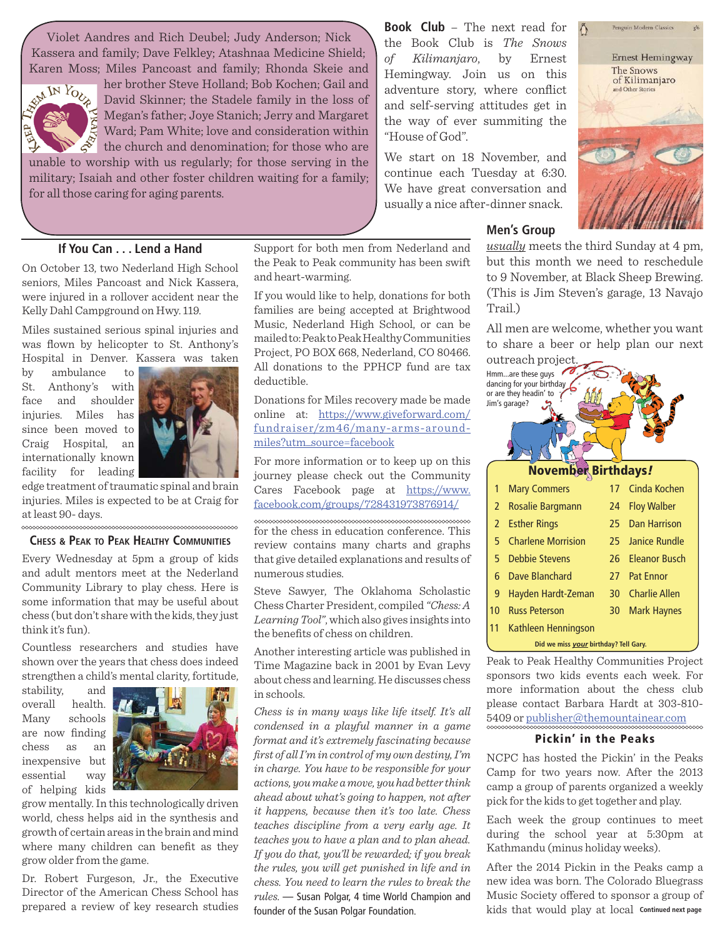Violet Aandres and Rich Deubel; Judy Anderson; Nick Kassera and family; Dave Felkley; Atashnaa Medicine Shield; Karen Moss; Miles Pancoast and family; Rhonda Skeie and



I

her brother Steve Holland; Bob Kochen; Gail and David Skinner; the Stadele family in the loss of Megan's father; Joye Stanich; Jerry and Margaret Ward; Pam White; love and consideration within the church and denomination; for those who are unable to worship with us regularly; for those serving in the

military; Isaiah and other foster children waiting for a family; for all those caring for aging parents.

# **If You Can . . . Lend a Hand**

On October 13, two Nederland High School seniors, Miles Pancoast and Nick Kassera, were injured in a rollover accident near the Kelly Dahl Campground on Hwy. 119.

Miles sustained serious spinal injuries and was flown by helicopter to St. Anthony's Hospital in Denver. Kassera was taken

by ambulance to St. Anthony's with face and shoulder injuries. Miles has since been moved to Craig Hospital, an internationally known facility for leading



edge treatment of traumatic spinal and brain injuries. Miles is expected to be at Craig for at least 90- days.

### **CHESS & PEAK TO PEAK HEALTHY COMMUNITIES**

Every Wednesday at 5pm a group of kids and adult mentors meet at the Nederland Community Library to play chess. Here is some information that may be useful about chess (but don't share with the kids, they just think it's fun).

Countless researchers and studies have shown over the years that chess does indeed strengthen a child's mental clarity, fortitude,

stability, and overall health. Many schools are now finding chess as an inexpensive but essential way of helping kids



grow mentally. In this technologically driven world, chess helps aid in the synthesis and growth of certain areas in the brain and mind where many children can benefit as they grow older from the game.

Dr. Robert Furgeson, Jr., the Executive Director of the American Chess School has prepared a review of key research studies

Support for both men from Nederland and the Peak to Peak community has been swift and heart-warming.

If you would like to help, donations for both families are being accepted at Brightwood Music, Nederland High School, or can be mailed to: Peak to Peak Healthy Communities Project, PO BOX 668, Nederland, CO 80466. All donations to the PPHCP fund are tax deductible.

Donations for Miles recovery made be made online at: https://www.giveforward.com/ fundraiser/zm46/many-arms-aroundmiles?utm\_source=facebook

For more information or to keep up on this journey please check out the Community Cares Facebook page at https://www. facebook.com/groups/728431973876914/

for the chess in education conference. This review contains many charts and graphs that give detailed explanations and results of numerous studies.

Steve Sawyer, The Oklahoma Scholastic Chess Charter President, compiled *"Chess: A Learning Tool"*, which also gives insights into the benefits of chess on children.

Another interesting article was published in Time Magazine back in 2001 by Evan Levy about chess and learning. He discusses chess in schools.

*Chess is in many ways like life itself. It's all condensed in a playful manner in a game format and it's extremely fascinating because fi rst of all I'm in control of my own destiny, I'm in charge. You have to be responsible for your actions, you make a move, you had better think ahead about what's going to happen, not after it happens, because then it's too late. Chess teaches discipline from a very early age. It teaches you to have a plan and to plan ahead. If you do that, you'll be rewarded; if you break the rules, you will get punished in life and in chess. You need to learn the rules to break the rules.* — Susan Polgar, 4 time World Champion and founder of the Susan Polgar Foundation.

**Book Club** – The next read for the Book Club is *The Snows of Kilimanjaro*, by Ernest Hemingway. Join us on this adventure story, where conflict and self-serving attitudes get in the way of ever summiting the "House of God".

We start on 18 November, and continue each Tuesday at 6:30. We have great conversation and usually a nice after-dinner snack.

## **Men's Group**

*usually* meets the third Sunday at 4 pm, but this month we need to reschedule to 9 November, at Black Sheep Brewing. (This is Jim Steven's garage, 13 Navajo Trail.)

All men are welcome, whether you want to share a beer or help plan our next outreach project.

| outrout proje<br>Hmmare these guys<br>dancing for your birthday<br>or are they headin' to<br>Jim's garage? |                                       |                            |                 |                      |  |  |  |
|------------------------------------------------------------------------------------------------------------|---------------------------------------|----------------------------|-----------------|----------------------|--|--|--|
|                                                                                                            |                                       | <b>November Birthdays!</b> |                 |                      |  |  |  |
|                                                                                                            | 1                                     | <b>Mary Commers</b>        | 17              | Cinda Kochen         |  |  |  |
|                                                                                                            | $\overline{2}$                        | <b>Rosalie Bargmann</b>    | 24              | <b>Floy Walber</b>   |  |  |  |
|                                                                                                            | $\overline{2}$                        | <b>Esther Rings</b>        | 25              | <b>Dan Harrison</b>  |  |  |  |
|                                                                                                            | 5                                     | <b>Charlene Morrision</b>  | 25              | Janice Rundle        |  |  |  |
|                                                                                                            | 5                                     | <b>Debbie Stevens</b>      | 26              | <b>Eleanor Busch</b> |  |  |  |
|                                                                                                            | 6                                     | Dave Blanchard             | 27              | <b>Pat Ennor</b>     |  |  |  |
|                                                                                                            | 9                                     | Hayden Hardt-Zeman         | 30 <sup>°</sup> | <b>Charlie Allen</b> |  |  |  |
|                                                                                                            | 10 <sup>°</sup>                       | <b>Russ Peterson</b>       | 30              | <b>Mark Haynes</b>   |  |  |  |
|                                                                                                            | 11                                    | Kathleen Henningson        |                 |                      |  |  |  |
|                                                                                                            | Did we miss your birthday? Tell Gary. |                            |                 |                      |  |  |  |

Peak to Peak Healthy Communities Project sponsors two kids events each week. For more information about the chess club please contact Barbara Hardt at 303-810- 5409 or publisher@themountainear.com

## **Pickin' in the Peaks**

NCPC has hosted the Pickin' in the Peaks Camp for two years now. After the 2013 camp a group of parents organized a weekly pick for the kids to get together and play.

Each week the group continues to meet during the school year at 5:30pm at Kathmandu (minus holiday weeks).

After the 2014 Pickin in the Peaks camp a new idea was born. The Colorado Bluegrass Music Society offered to sponsor a group of kids that would play at local **Continued next page**